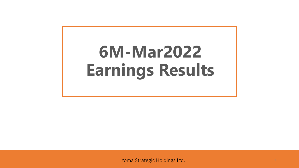# **6M-Mar2022 Earnings Results**

Yoma Strategic Holdings Ltd. <sup>1</sup>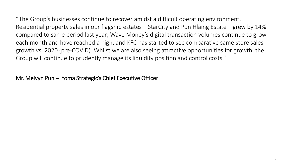"The Group's businesses continue to recover amidst a difficult operating environment. Residential property sales in our flagship estates – StarCity and Pun Hlaing Estate – grew by 14% compared to same period last year; Wave Money's digital transaction volumes continue to grow each month and have reached a high; and KFC has started to see comparative same store sales growth vs. 2020 (pre-COVID). Whilst we are also seeing attractive opportunities for growth, the Group will continue to prudently manage its liquidity position and control costs."

Mr. Melvyn Pun – Yoma Strategic's Chief Executive Officer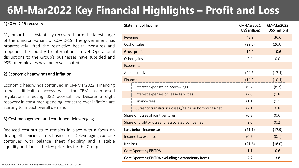### **6M-Mar2022 Key Financial Highlights – Profit and Loss**

#### 1) COVID-19 recovery

Myanmar has substantially recovered form the latest surge of the omicron variant of COVID-19. The government has progressively lifted the restrictive health measures and reopened the country to international travel. Operational disruptions to the Group's businesses have subsided and 99% of employees have been vaccinated.

#### 2) Economic headwinds and inflation

Economic headwinds continued in 6M-Mar2022. Financing remains difficult to access, whilst the CBM has imposed regulations affecting USD accessibility. Despite a slight recovery in consumer spending, concerns over inflation are starting to impact overall demand.

#### 3) Cost management and continued deleveraging

Reduced cost structure remains in place with a focus on driving efficiencies across businesses. Deleveraging exercise continues with balance sheet flexibility and a stable liquidity position as the key priorities for the Group.

|                 | <b>Statement of Income</b>                            | 6M-Mar2021<br>(US\$ million) | 6M-Mar2022<br>(US\$ million) |  |
|-----------------|-------------------------------------------------------|------------------------------|------------------------------|--|
| Revenue         |                                                       | 43.9                         | 36.6                         |  |
|                 | Cost of sales                                         | (29.5)                       | (26.0)                       |  |
|                 | Gross profit                                          | 14.4                         | 10.6                         |  |
|                 | Other gains                                           | 2.4                          | 0.0                          |  |
|                 | Expenses:-                                            |                              |                              |  |
|                 | Administrative                                        | (24.3)                       | (17.4)                       |  |
| Finance         |                                                       | (14.9)                       | (10.4)                       |  |
|                 | Interest expenses on borrowings                       | (9.7)                        | (8.3)                        |  |
|                 | Interest expenses on lease liabilities                | (2.0)                        | (1.8)                        |  |
|                 | Finance fees                                          | (1.1)                        | (1.1)                        |  |
|                 | Currency translation (losses)/gains on borrowings-net | (2.1)                        | 0.8                          |  |
|                 | Share of losses of joint ventures                     | (0.8)                        | (0.6)                        |  |
|                 | Share of profits/(losses) of associated companies     | 2.0                          | (0.2)                        |  |
|                 | Loss before income tax                                | (21.1)                       | (17.9)                       |  |
|                 | Income tax expense                                    | (0.5)                        | (0.1)                        |  |
| <b>Net loss</b> |                                                       | (21.6)                       | (18.0)                       |  |
|                 | <b>Core Operating EBITDA</b>                          | 1.1                          | 0.6                          |  |
|                 | Core Operating EBITDA excluding extraordinary items   | 2.2                          | 3.8                          |  |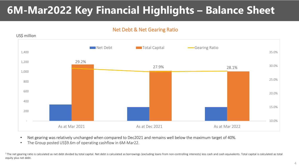### **6M-Mar2022 Key Financial Highlights – Balance Sheet**

### Net Debt & Net Gearing Ratio



- Net gearing was relatively unchanged when compared to Dec2021 and remains well below the maximum target of 40%.
- The Group posted US\$9.6m of operating cashflow in 6M-Mar22.

<sup>1</sup>The net gearing ratio is calculated as net debt divided by total capital. Net debt is calculated as borrowings (excluding loans from non-controlling interests) less cash and cash equivalents. Total capital is calculated equity plus net debt.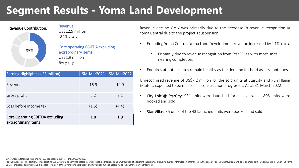### **Segment Results - Yoma Land Development**



Core operating EBITDA excluding extraordinary items: US\$1.9 million

| Earning Highlights (US\$ million) | $6M-Mar2021$   $6M-Mar2022$ |       |  |  |
|-----------------------------------|-----------------------------|-------|--|--|
|                                   |                             |       |  |  |
| Revenue                           | 16.9                        | 12.9  |  |  |
|                                   |                             |       |  |  |
| Gross profit                      | 5.2                         | 3.1   |  |  |
|                                   |                             |       |  |  |
| Loss before income tax            | (1.5)                       | (4.4) |  |  |
|                                   |                             |       |  |  |
| Core Operating EBITDA excluding   | 1.8                         | 1.9   |  |  |
| extraordinary items               |                             |       |  |  |

Revenue decline Y-o-Y was primarily due to the decrease in revenue recognition at Yoma Central due to the project's suspension.

- Excluding Yoma Central, Yoma Land Development revenue increased by 14% Y-o-Y.
	- Primarily due to revenue recognition from Star Villas with most units nearing completion.
- Enquires at both estates remain healthy as the demand for hard assets continues.

Unrecognised revenue of US\$7.2 million for the sold units at StarCity and Pun Hlaing Estate is expected to be realised as construction progresses. As at 31 March 2022:

- City Loft @ StarCity: 931 units were launched for sale, of which 805 units were booked and sold.
- Star Villas: 35 units of the 43 launched units were booked and sold.

Differences in total due to rounding, 0.0 denotes amount less than US\$100,000.

For the purpose of this section, core operating EBITDA refers to earnings before interest, taxes, depreciation and amortisation of operating subsidiaries excluding currency translation differences. In the case of Real Esta Central project as administrative expenses form part of the overall project budget and have been funded according to the shareholders' agreement. 5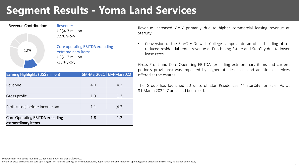### **Segment Results - Yoma Land Services**

| 6M-Mar2021   6M-Mar2022<br>Earning Highlights (US\$ million)<br>4.0<br>4.3<br>Revenue<br>1.9<br>Gross profit<br>1.3<br>Profit/(loss) before income tax<br>1.1<br>(4.2)<br><b>Core Operating EBITDA excluding</b><br>1.2<br>1.8<br>extraordinary items | 12% | extraordinary items:<br>US\$1.2 million<br>$-33\%$ y-o-y | <b>Core operating EBITDA excluding</b> |  |
|-------------------------------------------------------------------------------------------------------------------------------------------------------------------------------------------------------------------------------------------------------|-----|----------------------------------------------------------|----------------------------------------|--|
|                                                                                                                                                                                                                                                       |     |                                                          |                                        |  |
|                                                                                                                                                                                                                                                       |     |                                                          |                                        |  |
|                                                                                                                                                                                                                                                       |     |                                                          |                                        |  |
|                                                                                                                                                                                                                                                       |     |                                                          |                                        |  |
|                                                                                                                                                                                                                                                       |     |                                                          |                                        |  |
|                                                                                                                                                                                                                                                       |     |                                                          |                                        |  |
|                                                                                                                                                                                                                                                       |     |                                                          |                                        |  |
|                                                                                                                                                                                                                                                       |     |                                                          |                                        |  |
|                                                                                                                                                                                                                                                       |     |                                                          |                                        |  |
|                                                                                                                                                                                                                                                       |     |                                                          |                                        |  |

US\$4.3 million

7.5% y-o-y

Revenue Contribution: Revenue:

Revenue increased Y-o-Y primarily due to higher commercial leasing revenue at StarCity.

• Conversion of the StarCity Dulwich College campus into an office building offset reduced residential rental revenue at Pun Hlaing Estate and StarCity due to lower lease rates.

Gross Profit and Core Operating EBITDA (excluding extraordinary items and current period's provisions) was impacted by higher utilities costs and additional services offered at the estates.

The Group has launched 50 units of Star Residences @ StarCity for sale. As at 31 March 2022, 7 units had been sold.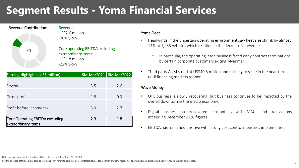### **Segment Results - Yoma Financial Services**



Revenue: US\$2.6 million -26% y-o-y

Core operating EBITDA excluding extraordinary items: US\$1.8 million -22% y-o-y

| Earning Highlights (US\$ million)                             | $6M-Mar2021$   $6M-Mar2022$ |     |  |  |
|---------------------------------------------------------------|-----------------------------|-----|--|--|
|                                                               |                             |     |  |  |
| Revenue                                                       | 3.5                         | 2.6 |  |  |
| Gross profit                                                  | 1.8                         | 0.9 |  |  |
| Profit before income tax                                      | 3.9                         | 7.7 |  |  |
| <b>Core Operating EBITDA excluding</b><br>extraordinary items | 2.3                         | 1.8 |  |  |

#### Yoma Fleet

- Headwinds in the uncertain operating environment saw fleet size shrink by almost 14% to 1,233 vehicles which resulted in the decrease in revenue.
	- In particular, the operating lease business faced early contract terminations by certain corporate customers exiting Myanmar.
- Third party AUM stood at US\$40.5 million and unlikely to scale in the near-term until financing markets reopen.

#### Wave Money

- OTC business is slowly recovering, but business continues to be impacted by the overall downturn in the macro economy.
- Digital business has recovered substantially with MAUs and transactions exceeding December 2020 figures.
- EBITDA has remained positive with strong cost control measures implemented.

#### Differences in total due to rounding . 0.0 denotes amount less than US\$100,000.

For the purpose of this section, core operating EBITDA refers to earnings before interest, taxes, depreciation and amortisation of operating subsidiaries excluding currency translation differences.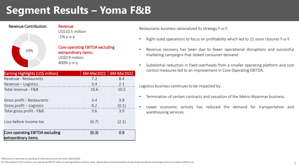### **Segment Results – Yoma F&B**



Revenue Contribution: Revenue: US\$10.5 million -1% y-o-y

> Core operating EBITDA excluding extraordinary items: US\$0.9 million 400% y-o-y

| Earning Highlights (US\$ million)                             | 6M-Mar2021 | 6M-Mar2022 |
|---------------------------------------------------------------|------------|------------|
| Revenue - Restaurants                                         | 7.2        | 8.4        |
| Revenue – Logistics                                           | 3.4        | 2.1        |
| Total revenue - F&B                                           | 10.6       | 10.5       |
|                                                               |            |            |
| Gross profit - Restaurants                                    | 3.4        | 3.9        |
| Gross profit - Logistics                                      | 0.2        | (0.1)      |
| Total gross profit - F&B                                      | 3.6        | 3.9        |
| Loss before income tax                                        | (6.7)      | (2.1)      |
| <b>Core operating EBITDA excluding</b><br>extraordinary items | (0.3)      | 0.9        |

Restaurants business rationalized its strategy Y-o-Y:

- Right-sized operations to focus on profitability which led to 22 store closures Y-o-Y.
- Revenue recovery has been due to fewer operational disruptions and successful marketing campaigns that stoked consumer demand.
- Substantial reduction in fixed overheads from a smaller operating platform and cost control measures led to an improvement in Core Operating EBITDA.

Logistics business continues to be impacted by:

- Termination of certain contracts and cessation of the Metro Myanmar business.
- Lower economic activity has reduced the demand for transportation and warehousing services.

Differences in total due to rounding. 0.0 denotes amount less than US\$100,000.

For the purpose of this section, core operating EBITDA refers to earnings before interest, taxes, depreciation and amortisation of operating subsidiaries excluding currency translation differences.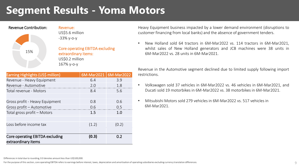### **Segment Results - Yoma Motors**

| ו ושעונוט שטוונו וועטנוטוו |
|----------------------------|
|                            |
| 15%                        |
|                            |

Revenue Contribution: Revenue: US\$5.6 million -33% y-o-y

> Core operating EBITDA excluding extraordinary items: US\$0.2 million 167% y-o-y

| Earning Highlights (US\$ million)      | 6M-Mar2021 | 6M-Mar2022 |
|----------------------------------------|------------|------------|
| Revenue - Heavy Equipment              | 6.4        | 3.9        |
| Revenue - Automotive                   | 2.0        | 1.8        |
| Total revenue - Motors                 | 8.4        | 5.6        |
|                                        |            |            |
| Gross profit - Heavy Equipment         | 0.8        | 0.6        |
| Gross profit - Automotive              | 0.6        | 0.5        |
| Total gross profit – Motors            | 1.5        | 1.0        |
|                                        |            |            |
| Loss before income tax                 | (1.2)      | (0.2)      |
|                                        |            |            |
| <b>Core operating EBITDA excluding</b> | (0.3)      | 0.2        |
| extraordinary items                    |            |            |

Heavy Equipment business impacted by a lower demand environment (disruptions to customer financing from local banks) and the absence of government tenders.

• New Holland sold 64 tractors in 6M-Mar2022 vs. 114 tractors in 6M-Mar2021, whilst sales of New Holland generators and JCB machines were 38 units in 6M-Mar2022 vs. 28 units in 6M-Mar2021.

Revenue in the Automotive segment declined due to limited supply following import restrictions.

- Volkswagen sold 37 vehicles in 6M-Mar2022 vs. 46 vehicles in 6M-Mar2021, and Ducati sold 19 motorbikes in 6M-Mar2022 vs. 38 motorbikes in 6M-Mar2021.
- Mitsubishi Motors sold 279 vehicles in 6M-Mar2022 vs. 517 vehicles in 6M-Mar2021.

Differences in total due to rounding, 0.0 denotes amount less than US\$100,000.

For the purpose of this section, core operating EBITDA refers to earnings before interest, taxes, depreciation and amortisation of operating subsidiaries excluding currency translation differences.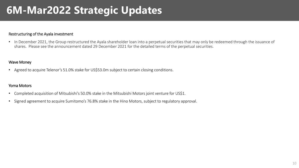### **6M-Mar2022 Strategic Updates**

#### Restructuring of the Ayala investment

• In December 2021, the Group restructured the Ayala shareholder loan into a perpetual securities that may only be redeemed through the issuance of shares. Please see the announcement dated 29 December 2021 for the detailed terms of the perpetual securities.

#### Wave Money

• Agreed to acquire Telenor's 51.0% stake for US\$53.0m subject to certain closing conditions.

#### Yoma Motors

- Completed acquisition of Mitsubishi's 50.0% stake in the Mitsubishi Motors joint venture for US\$1.
- Signed agreement to acquire Sumitomo's 76.8% stake in the Hino Motors, subject to regulatory approval.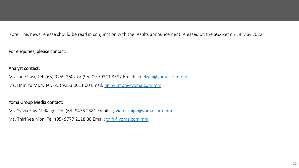Note: This news release should be read in conjunction with the results announcement released on the SGXNet on 14 May 2022.

For enquiries, please contact:

### Analyst contact:

Ms. Jane Kwa, Tel: (65) 9759 2602 or (95) 09 79311 3587 Email: [janekwa@yoma.com.mm](mailto:janekwa@yoma.com.mm) Ms. Hnin Yu Mon, Tel: (95) 9253 0011 00 Email: [hninyumon@yoma.com.mm](mailto:hninyumon@yoma.com.mm)

### Yoma Group Media contact:

Ms. Sylvia Saw McKaige, Tel: (65) 9476 2581 Email: [sylviamckaige@yoma.com.mm](mailto:sylviamckaige@yoma.com.mm)

Ms. Thiri Yee Mon, Tel: (95) 9777 2118 88 Email: [thiri@yoma.com.mm](mailto:thiri@yoma.com.mm)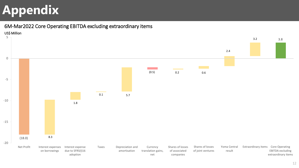## **Appendix**

6M-Mar2022 Core Operating EBITDA excluding extraordinary items